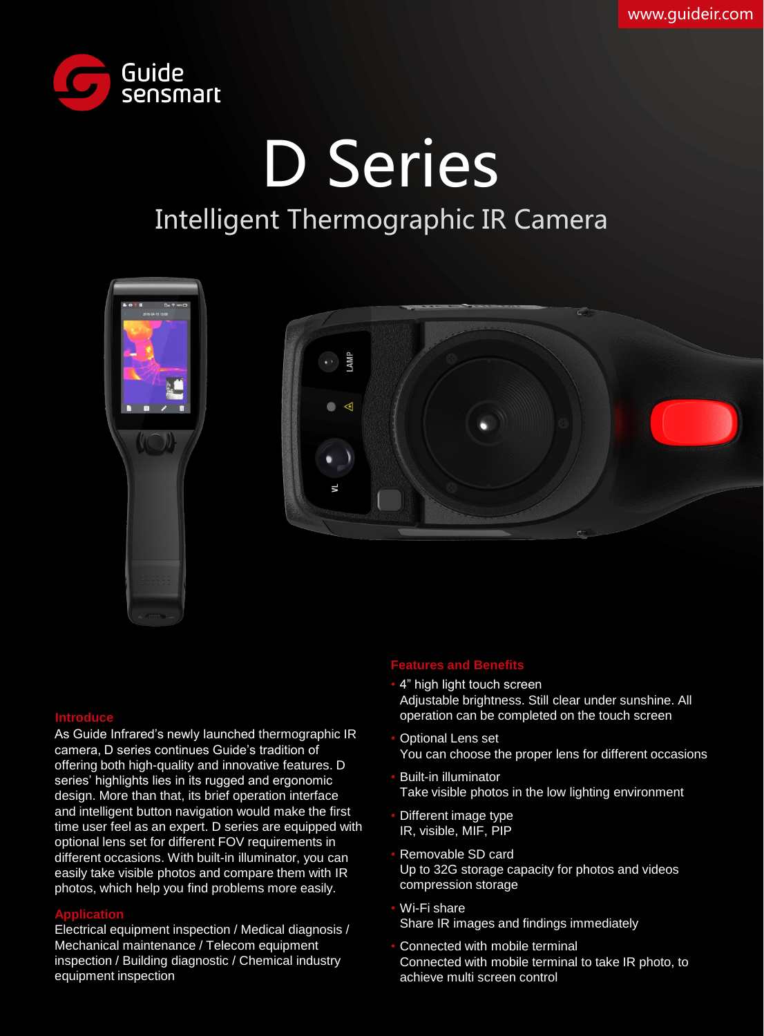

# D Series Intelligent Thermographic IR Camera



#### **Introduce**

As Guide Infrared's newly launched thermographic IR camera, D series continues Guide's tradition of offering both high-quality and innovative features. D series' highlights lies in its rugged and ergonomic design. More than that, its brief operation interface and intelligent button navigation would make the first time user feel as an expert. D series are equipped with optional lens set for different FOV requirements in different occasions. With built-in illuminator, you can easily take visible photos and compare them with IR photos, which help you find problems more easily.

#### **Application** •

Electrical equipment inspection / Medical diagnosis / Mechanical maintenance / Telecom equipment inspection / Building diagnostic / Chemical industry equipment inspection

#### **Features and Benefits**

- 4" high light touch screen Adjustable brightness. Still clear under sunshine. All operation can be completed on the touch screen
- Optional Lens set You can choose the proper lens for different occasions
- Built-in illuminator Take visible photos in the low lighting environment
- Different image type IR, visible, MIF, PIP
- Removable SD card Up to 32G storage capacity for photos and videos compression storage
- Wi-Fi share Share IR images and findings immediately
- Connected with mobile terminal Connected with mobile terminal to take IR photo, to achieve multi screen control